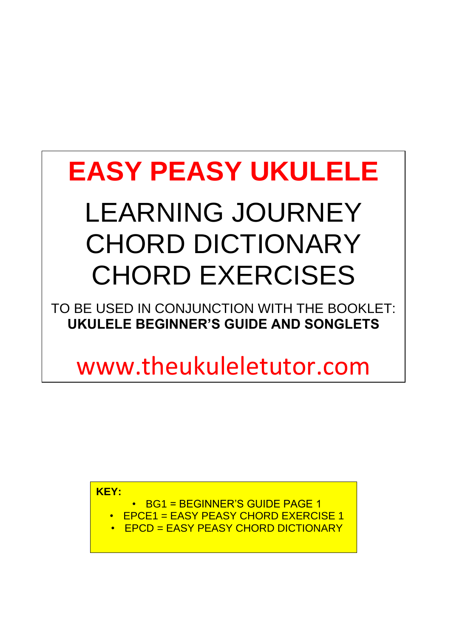# **EASY PEASY UKULELE**

## LEARNING JOURNEY CHORD DICTIONARY CHORD EXERCISES

TO BE USED IN CONJUNCTION WITH THE BOOKLET: **UKULELE BEGINNER'S GUIDE AND SONGLETS** 

www.theukuleletutor.com

**KEY:** 

- BG1 = BEGINNER'S GUIDE PAGE 1
- EPCE1 = EASY PEASY CHORD EXERCISE 1
- EPCD = EASY PEASY CHORD DICTIONARY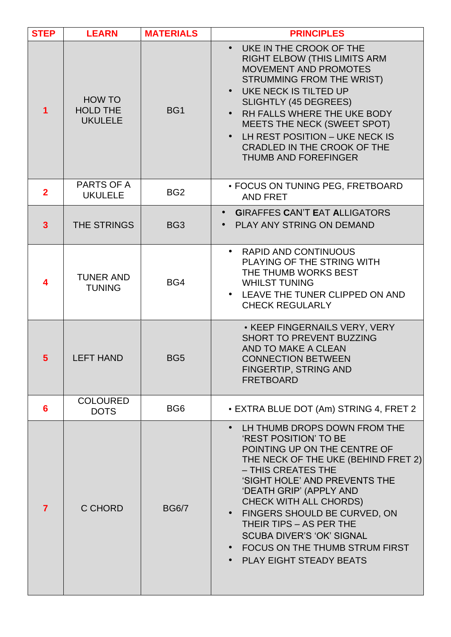| <b>STEP</b>    | <b>LEARN</b>                                | <b>MATERIALS</b> | <b>PRINCIPLES</b>                                                                                                                                                                                                                                                                                                                                                                                                            |
|----------------|---------------------------------------------|------------------|------------------------------------------------------------------------------------------------------------------------------------------------------------------------------------------------------------------------------------------------------------------------------------------------------------------------------------------------------------------------------------------------------------------------------|
| 1              | HOW TO<br><b>HOLD THE</b><br><b>UKULELE</b> | BG1              | • UKE IN THE CROOK OF THE<br><b>RIGHT ELBOW (THIS LIMITS ARM</b><br><b>MOVEMENT AND PROMOTES</b><br>STRUMMING FROM THE WRIST)<br>UKE NECK IS TILTED UP<br><b>SLIGHTLY (45 DEGREES)</b><br>RH FALLS WHERE THE UKE BODY<br>MEETS THE NECK (SWEET SPOT)<br>LH REST POSITION - UKE NECK IS<br>CRADLED IN THE CROOK OF THE<br><b>THUMB AND FOREFINGER</b>                                                                         |
| $\overline{2}$ | PARTS OF A<br><b>UKULELE</b>                | BG <sub>2</sub>  | · FOCUS ON TUNING PEG, FRETBOARD<br><b>AND FRET</b>                                                                                                                                                                                                                                                                                                                                                                          |
| $\overline{3}$ | THE STRINGS                                 | BG <sub>3</sub>  | <b>GIRAFFES CAN'T EAT ALLIGATORS</b><br>PLAY ANY STRING ON DEMAND                                                                                                                                                                                                                                                                                                                                                            |
| 4              | <b>TUNER AND</b><br><b>TUNING</b>           | BG4              | • RAPID AND CONTINUOUS<br>PLAYING OF THE STRING WITH<br>THE THUMB WORKS BEST<br><b>WHILST TUNING</b><br>• LEAVE THE TUNER CLIPPED ON AND<br><b>CHECK REGULARLY</b>                                                                                                                                                                                                                                                           |
| $5\phantom{1}$ | <b>LEFT HAND</b>                            | BG <sub>5</sub>  | • KEEP FINGERNAILS VERY, VERY<br><b>SHORT TO PREVENT BUZZING</b><br>AND TO MAKE A CLEAN<br><b>CONNECTION BETWEEN</b><br><b>FINGERTIP, STRING AND</b><br><b>FRETBOARD</b>                                                                                                                                                                                                                                                     |
| 6              | <b>COLOURED</b><br><b>DOTS</b>              | BG <sub>6</sub>  | • EXTRA BLUE DOT (Am) STRING 4, FRET 2                                                                                                                                                                                                                                                                                                                                                                                       |
| 7              | C CHORD                                     | <b>BG6/7</b>     | LH THUMB DROPS DOWN FROM THE<br>$\bullet$<br>'REST POSITION' TO BE<br>POINTING UP ON THE CENTRE OF<br>THE NECK OF THE UKE (BEHIND FRET 2)<br>- THIS CREATES THE<br>'SIGHT HOLE' AND PREVENTS THE<br>'DEATH GRIP' (APPLY AND<br><b>CHECK WITH ALL CHORDS)</b><br>• FINGERS SHOULD BE CURVED, ON<br>THEIR TIPS - AS PER THE<br><b>SCUBA DIVER'S 'OK' SIGNAL</b><br>FOCUS ON THE THUMB STRUM FIRST<br>• PLAY EIGHT STEADY BEATS |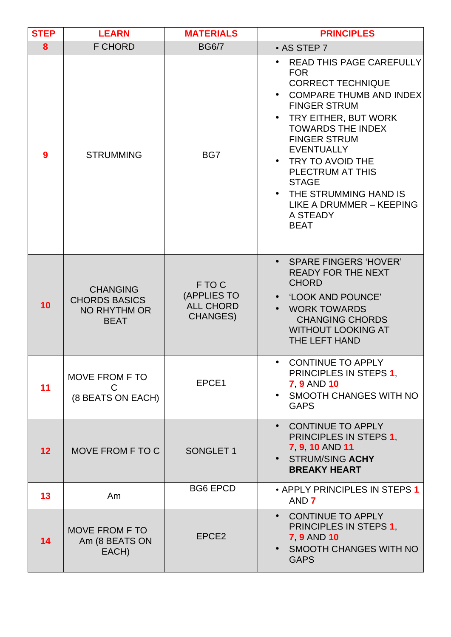| <b>STEP</b> | <b>LEARN</b>                                                           | <b>MATERIALS</b>                                             | <b>PRINCIPLES</b>                                                                                                                                                                                                                                                                                                                                                     |
|-------------|------------------------------------------------------------------------|--------------------------------------------------------------|-----------------------------------------------------------------------------------------------------------------------------------------------------------------------------------------------------------------------------------------------------------------------------------------------------------------------------------------------------------------------|
| 8           | <b>F CHORD</b>                                                         | <b>BG6/7</b>                                                 | $\cdot$ AS STEP 7                                                                                                                                                                                                                                                                                                                                                     |
| 9           | <b>STRUMMING</b>                                                       | BG7                                                          | READ THIS PAGE CAREFULLY<br><b>FOR</b><br><b>CORRECT TECHNIQUE</b><br><b>COMPARE THUMB AND INDEX</b><br><b>FINGER STRUM</b><br>TRY EITHER, BUT WORK<br><b>TOWARDS THE INDEX</b><br><b>FINGER STRUM</b><br><b>EVENTUALLY</b><br>TRY TO AVOID THE<br>PLECTRUM AT THIS<br><b>STAGE</b><br>• THE STRUMMING HAND IS<br>LIKE A DRUMMER - KEEPING<br>A STEADY<br><b>BEAT</b> |
| 10          | <b>CHANGING</b><br><b>CHORDS BASICS</b><br>NO RHYTHM OR<br><b>BEAT</b> | F TO C<br>(APPLIES TO<br><b>ALL CHORD</b><br><b>CHANGES)</b> | <b>SPARE FINGERS 'HOVER'</b><br><b>READY FOR THE NEXT</b><br><b>CHORD</b><br>'LOOK AND POUNCE'<br><b>WORK TOWARDS</b><br><b>CHANGING CHORDS</b><br><b>WITHOUT LOOKING AT</b><br>THE LEFT HAND                                                                                                                                                                         |
| 11          | <b>MOVE FROM F TO</b><br>С<br>(8 BEATS ON EACH)                        | EPCE1                                                        | <b>CONTINUE TO APPLY</b><br>PRINCIPLES IN STEPS 1.<br><b>7 9 AND 10</b><br><b>SMOOTH CHANGES WITH NO</b><br><b>GAPS</b>                                                                                                                                                                                                                                               |
| 12          | MOVE FROM F TO C                                                       | <b>SONGLET 1</b>                                             | • CONTINUE TO APPLY<br>PRINCIPLES IN STEPS 1.<br>7 9 10 AND 11<br>• STRUM/SING ACHY<br><b>BREAKY HEART</b>                                                                                                                                                                                                                                                            |
| 13          | Am                                                                     | <b>BG6 EPCD</b>                                              | • APPLY PRINCIPLES IN STEPS 1<br>AND 7                                                                                                                                                                                                                                                                                                                                |
| 14          | <b>MOVE FROM F TO</b><br>Am (8 BEATS ON<br>EACH)                       | EPCE <sub>2</sub>                                            | • CONTINUE TO APPLY<br>PRINCIPLES IN STEPS 1,<br><b>7 9 AND 10</b><br><b>SMOOTH CHANGES WITH NO</b><br><b>GAPS</b>                                                                                                                                                                                                                                                    |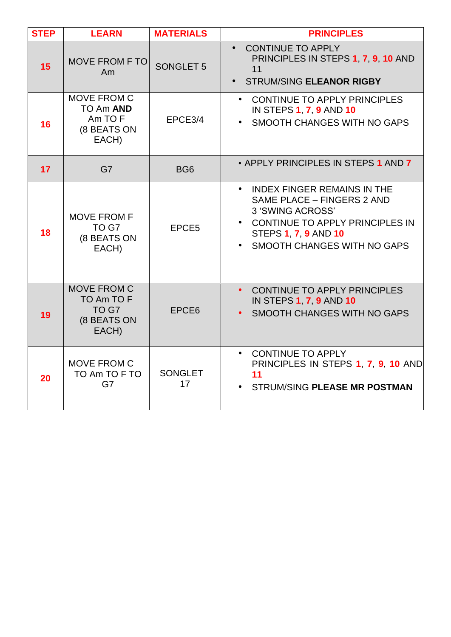| <b>STEP</b> | <b>LEARN</b>                                                      | <b>MATERIALS</b>     | <b>PRINCIPLES</b>                                                                                                                                                                                    |
|-------------|-------------------------------------------------------------------|----------------------|------------------------------------------------------------------------------------------------------------------------------------------------------------------------------------------------------|
| 15          | <b>MOVE FROM F TO</b><br>Am                                       | <b>SONGLET 5</b>     | <b>CONTINUE TO APPLY</b><br>PRINCIPLES IN STEPS 1, 7, 9, 10 AND<br>11<br><b>STRUM/SING ELEANOR RIGBY</b><br>$\bullet$                                                                                |
| 16          | MOVE FROM C<br>TO Am AND<br>Am TO F<br>(8 BEATS ON<br>EACH)       | EPCE3/4              | CONTINUE TO APPLY PRINCIPLES<br>$\bullet$<br>IN STEPS 1, 7, 9 AND 10<br>SMOOTH CHANGES WITH NO GAPS                                                                                                  |
| 17          | G7                                                                | BG <sub>6</sub>      | • APPLY PRINCIPLES IN STEPS 1 AND 7                                                                                                                                                                  |
| 18          | <b>MOVE FROM F</b><br>TO G7<br>(8 BEATS ON<br>EACH)               | EPCE5                | <b>INDEX FINGER REMAINS IN THE</b><br>$\bullet$<br>SAME PLACE - FINGERS 2 AND<br>3 'SWING ACROSS'<br>• CONTINUE TO APPLY PRINCIPLES IN<br><b>STEPS 1, 7, 9 AND 10</b><br>SMOOTH CHANGES WITH NO GAPS |
| 19          | <b>MOVE FROM C</b><br>TO Am TO F<br>TO G7<br>(8 BEATS ON<br>EACH) | EPCE <sub>6</sub>    | CONTINUE TO APPLY PRINCIPLES<br>$\bullet$<br><b>IN STEPS 1, 7, 9 AND 10</b><br>SMOOTH CHANGES WITH NO GAPS                                                                                           |
| 20          | MOVE FROM C<br>TO Am TO F TO<br>G7                                | <b>SONGLET</b><br>17 | <b>CONTINUE TO APPLY</b><br>$\bullet$<br>PRINCIPLES IN STEPS 1, 7, 9, 10 AND<br>11<br><b>STRUM/SING PLEASE MR POSTMAN</b>                                                                            |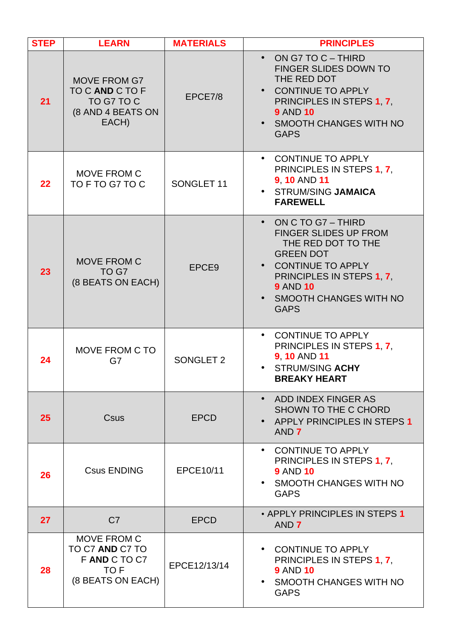| <b>STEP</b> | <b>LEARN</b>                                                                       | <b>MATERIALS</b> | <b>PRINCIPLES</b>                                                                                                                                                                                                        |
|-------------|------------------------------------------------------------------------------------|------------------|--------------------------------------------------------------------------------------------------------------------------------------------------------------------------------------------------------------------------|
| 21          | <b>MOVE FROM G7</b><br>TO C AND C TO F<br>TO G7 TO C<br>(8 AND 4 BEATS ON<br>EACH) | EPCE7/8          | ON G7 TO C - THIRD<br>$\bullet$<br><b>FINGER SLIDES DOWN TO</b><br>THE RED DOT<br><b>CONTINUE TO APPLY</b><br>PRINCIPLES IN STEPS 1.7.<br><b>9 AND 10</b><br>• SMOOTH CHANGES WITH NO<br><b>GAPS</b>                     |
| 22          | <b>MOVE FROM C</b><br>TO F TO G7 TO C                                              | SONGLET 11       | <b>CONTINUE TO APPLY</b><br>$\bullet$<br>PRINCIPLES IN STEPS 1, 7,<br><b>9, 10 AND 11</b><br>• STRUM/SING JAMAICA<br><b>FAREWELL</b>                                                                                     |
| 23          | <b>MOVE FROM C</b><br>TO G7<br>(8 BEATS ON EACH)                                   | EPCE9            | ON C TO G7 - THIRD<br>$\bullet$<br><b>FINGER SLIDES UP FROM</b><br>THE RED DOT TO THE<br><b>GREEN DOT</b><br>• CONTINUE TO APPLY<br>PRINCIPLES IN STEPS 1.7.<br><b>9 AND 10</b><br>SMOOTH CHANGES WITH NO<br><b>GAPS</b> |
| 24          | MOVE FROM C TO<br>G7                                                               | SONGLET 2        | <b>CONTINUE TO APPLY</b><br>$\bullet$<br>PRINCIPLES IN STEPS 1, 7,<br><b>9.10 AND 11</b><br><b>STRUM/SING ACHY</b><br>$\bullet$<br><b>BREAKY HEART</b>                                                                   |
| 25          | Csus                                                                               | <b>EPCD</b>      | ADD INDEX FINGER AS<br>$\bullet$<br>SHOWN TO THE C CHORD<br>APPLY PRINCIPLES IN STEPS 1<br>AND 7                                                                                                                         |
| 26          | <b>Csus ENDING</b>                                                                 | EPCE10/11        | CONTINUE TO APPLY<br>$\bullet$<br>PRINCIPLES IN STEPS 1, 7,<br><b>9 AND 10</b><br>SMOOTH CHANGES WITH NO<br><b>GAPS</b>                                                                                                  |
| 27          | C <sub>7</sub>                                                                     | <b>EPCD</b>      | • APPLY PRINCIPLES IN STEPS 1<br>AND 7                                                                                                                                                                                   |
| 28          | MOVE FROM C<br>TO C7 AND C7 TO<br>FAND CTOC7<br>TO F<br>(8 BEATS ON EACH)          | EPCE12/13/14     | <b>CONTINUE TO APPLY</b><br>$\bullet$<br>PRINCIPLES IN STEPS 1, 7,<br><b>9 AND 10</b><br>SMOOTH CHANGES WITH NO<br>$\bullet$<br><b>GAPS</b>                                                                              |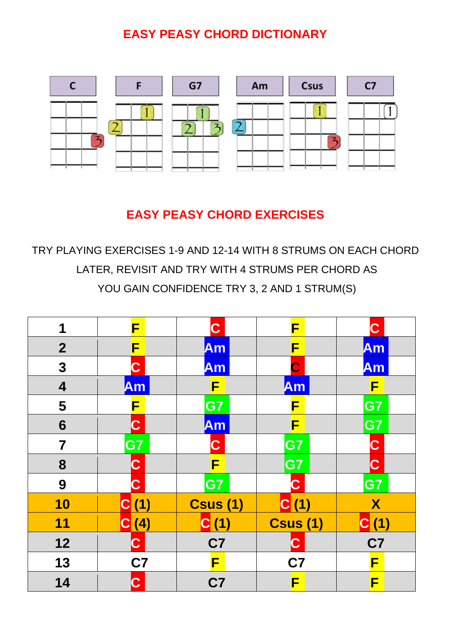#### **EASY PEASY CHORD DICTIONARY**



### **EASY PEASY CHORD EXERCISES**

TRY PLAYING EXERCISES 1-9 AND 12-14 WITH 8 STRUMS ON EACH CHORD LATER, REVISIT AND TRY WITH 4 STRUMS PER CHORD AS YOU GAIN CONFIDENCE TRY 3, 2 AND 1 STRUM(S)

| 1                       | F           | $\mathbf C$     | F               | $\mathbf C$      |
|-------------------------|-------------|-----------------|-----------------|------------------|
| $\mathbf{2}$            | F           | Am              | F               | Am               |
| 3                       | C           | Am              | $\mathbf C$     | Am               |
| $\overline{\mathbf{4}}$ | Am          | F               | Am              | F                |
| 5                       | F           | G7              | F               | G7               |
| 6                       | C           | Am              | F               | G7               |
| $\overline{\mathbf{7}}$ | G7          | $\mathbf C$     | G7              | $\mathbf C$      |
| 8                       | $\mathbf C$ | F               | G7              | $ {\bf C} $      |
| 9                       | $\mathbf C$ | G7              | $\mathbf C$     | G7               |
| 10                      | C(1)        | <b>Csus (1)</b> | C(1)            | $\boldsymbol{X}$ |
| 11                      | C(4)        | C(1)            | <b>Csus (1)</b> | C(1)             |
| 12                      | $\mathbf C$ | C7              | $\mathbf C$     | C7               |
| 13                      | C7          | F               | C7              | F                |
| 14                      | $\mathbf C$ | C7              | F               | F                |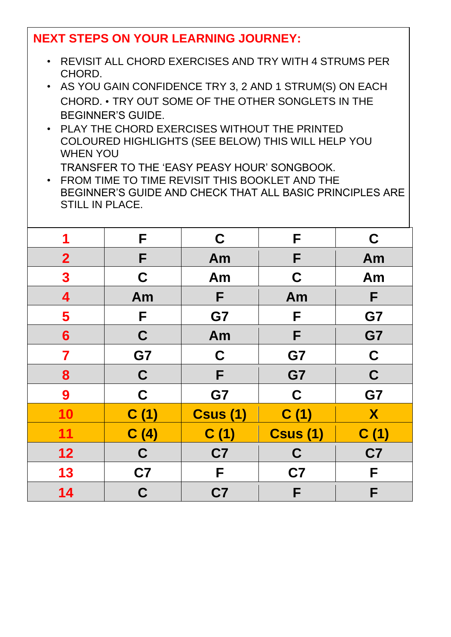#### **NEXT STEPS ON YOUR LEARNING JOURNEY:**

- REVISIT ALL CHORD EXERCISES AND TRY WITH 4 STRUMS PER CHORD.
- AS YOU GAIN CONFIDENCE TRY 3, 2 AND 1 STRUM(S) ON EACH CHORD. • TRY OUT SOME OF THE OTHER SONGLETS IN THE BEGINNER'S GUIDE.
- PLAY THE CHORD EXERCISES WITHOUT THE PRINTED COLOURED HIGHLIGHTS (SEE BELOW) THIS WILL HELP YOU WHEN YOU

TRANSFER TO THE 'EASY PEASY HOUR' SONGBOOK.

• FROM TIME TO TIME REVISIT THIS BOOKLET AND THE BEGINNER'S GUIDE AND CHECK THAT ALL BASIC PRINCIPLES ARE STILL IN PLACE.

| 1                | F           | $\mathbf C$     | F               | C              |
|------------------|-------------|-----------------|-----------------|----------------|
| $\overline{2}$   | F           | Am              | F               | Am             |
| $\boldsymbol{3}$ | C           | Am              | C               | Am             |
| 4                | Am          | F               | Am              | F              |
| 5                | F           | G7              | F               | G7             |
| $6\phantom{1}$   | C           | Am              | F               | G7             |
| 7                | G7          | $\mathbf C$     | G7              | $\mathbf C$    |
| 8                | $\mathbf C$ | F               | G7              | $\mathbf C$    |
| 9                | $\mathbf C$ | G7              | $\mathbf C$     | G7             |
| 10               | C(1)        | <b>Csus (1)</b> | C(1)            | X              |
| 11               | C(4)        | C(1)            | <b>Csus (1)</b> | C(1)           |
| 12               | $\mathbf C$ | C7              | C               | C <sub>7</sub> |
| 13               | C7          | F               | C <sub>7</sub>  | F              |
| 14               | $\mathbf C$ | C7              | F               | F              |